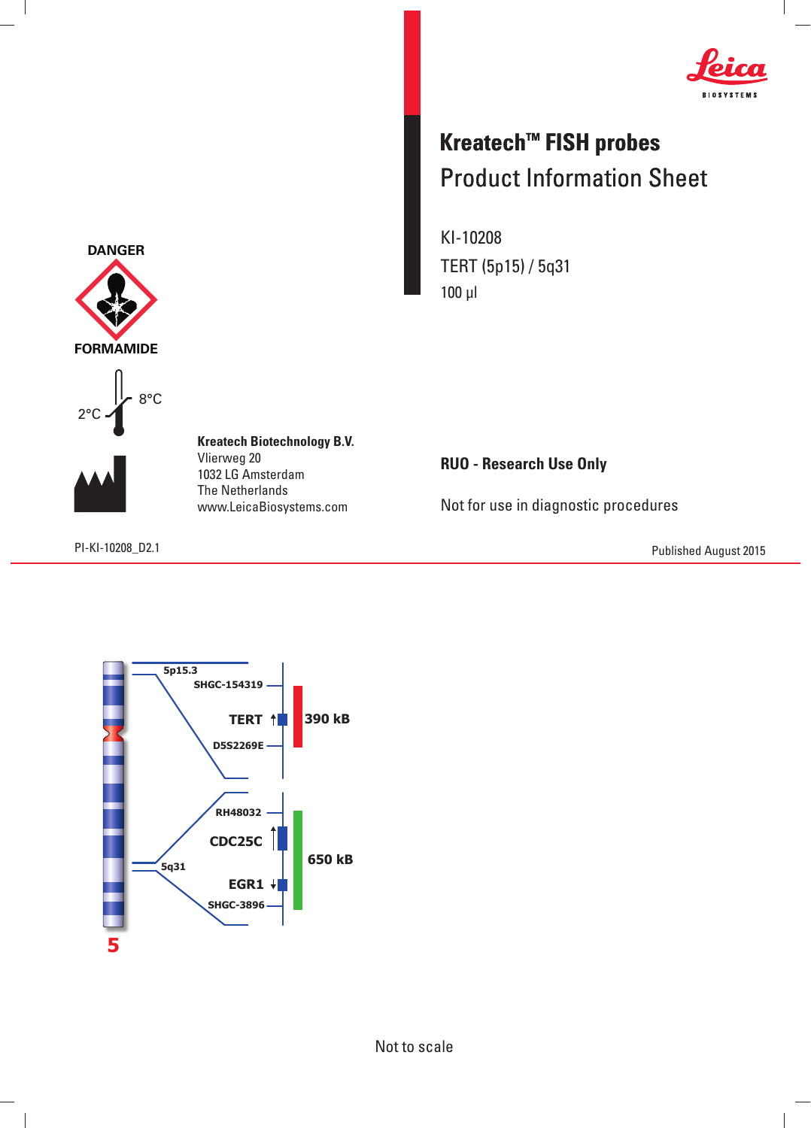

## **Kreatech™ FISH probes** Product Information Sheet

KI-10208 TERT (5p15) / 5q31 100 μl

**RUO - Research Use Only**

Not for use in diagnostic procedures

PI-KI-10208\_D2.1 Published August 2015



8°C



 $\overline{\phantom{a}}$ 

**Kreatech Biotechnology B.V.** Vlierweg 20 1032 LG Amsterdam The Netherlands www.LeicaBiosystems.com